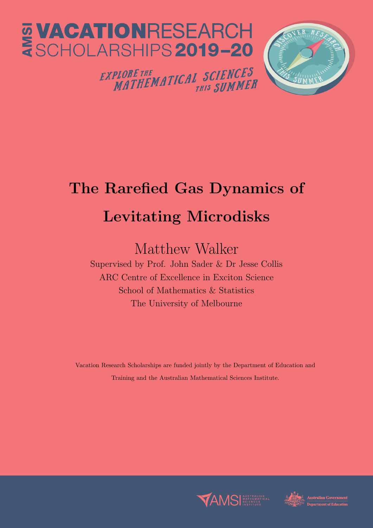

## The Rarefied Gas Dynamics of Levitating Microdisks

## Matthew Walker

Supervised by Prof. John Sader & Dr Jesse Collis ARC Centre of Excellence in Exciton Science School of Mathematics & Statistics The University of Melbourne

Vacation Research Scholarships are funded jointly by the Department of Education and Training and the Australian Mathematical Sciences Institute.



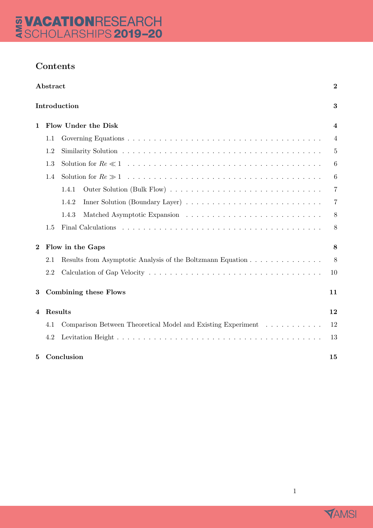### Contents

| Abstract<br>Introduction |                  |                                                              | $\boldsymbol{2}$<br>3 |
|--------------------------|------------------|--------------------------------------------------------------|-----------------------|
|                          |                  |                                                              |                       |
|                          | 1.1              |                                                              | $\overline{4}$        |
|                          | 1.2              |                                                              | $\overline{5}$        |
|                          | 1.3              |                                                              | 6                     |
|                          | 1.4              |                                                              | 6                     |
|                          |                  | 1.4.1                                                        | $\overline{7}$        |
|                          |                  | 1.4.2                                                        | $\overline{7}$        |
|                          |                  | 1.4.3                                                        | 8                     |
|                          | 1.5              |                                                              | 8                     |
| $\bf{2}$                 | Flow in the Gaps |                                                              | 8                     |
|                          | 2.1              | Results from Asymptotic Analysis of the Boltzmann Equation   | 8                     |
|                          | 2.2              |                                                              | 10                    |
| 3                        |                  | <b>Combining these Flows</b>                                 | 11                    |
| 4                        | Results          |                                                              |                       |
|                          | 4.1              | Comparison Between Theoretical Model and Existing Experiment | 12                    |
|                          | 4.2              |                                                              | 13                    |
| 5                        |                  | Conclusion                                                   | 15                    |



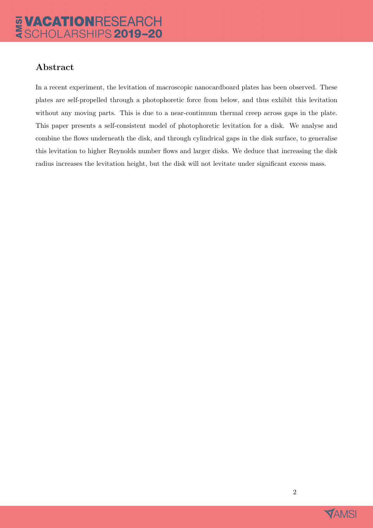# E VACATIONRESEARCH

### Abstract

In a recent experiment, the levitation of macroscopic nanocardboard plates has been observed. These plates are self-propelled through a photophoretic force from below, and thus exhibit this levitation without any moving parts. This is due to a near-continuum thermal creep across gaps in the plate. This paper presents a self-consistent model of photophoretic levitation for a disk. We analyse and combine the flows underneath the disk, and through cylindrical gaps in the disk surface, to generalise this levitation to higher Reynolds number flows and larger disks. We deduce that increasing the disk radius increases the levitation height, but the disk will not levitate under significant excess mass.

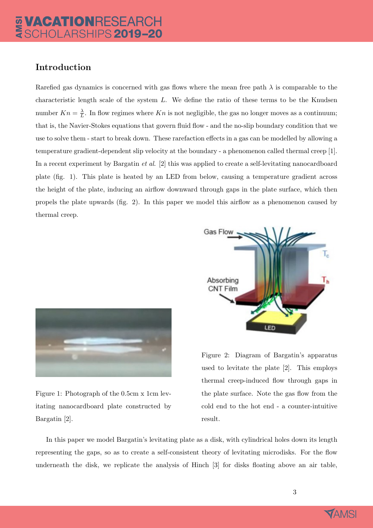### Introduction

Rarefied gas dynamics is concerned with gas flows where the mean free path  $\lambda$  is comparable to the characteristic length scale of the system  $L$ . We define the ratio of these terms to be the Knudsen number  $Kn = \frac{\lambda}{L}$  $\frac{\lambda}{L}$ . In flow regimes where Kn is not negligible, the gas no longer moves as a continuum; that is, the Navier-Stokes equations that govern fluid flow - and the no-slip boundary condition that we use to solve them - start to break down. These rarefaction effects in a gas can be modelled by allowing a temperature gradient-dependent slip velocity at the boundary - a phenomenon called thermal creep [1]. In a recent experiment by Bargatin et al. [2] this was applied to create a self-levitating nanocardboard plate (fig. 1). This plate is heated by an LED from below, causing a temperature gradient across the height of the plate, inducing an airflow downward through gaps in the plate surface, which then propels the plate upwards (fig. 2). In this paper we model this airflow as a phenomenon caused by thermal creep.



Figure 1: Photograph of the 0.5cm x 1cm levitating nanocardboard plate constructed by Bargatin [2].



Figure 2: Diagram of Bargatin's apparatus used to levitate the plate [2]. This employs thermal creep-induced flow through gaps in the plate surface. Note the gas flow from the cold end to the hot end - a counter-intuitive result.

In this paper we model Bargatin's levitating plate as a disk, with cylindrical holes down its length representing the gaps, so as to create a self-consistent theory of levitating microdisks. For the flow underneath the disk, we replicate the analysis of Hinch [3] for disks floating above an air table,

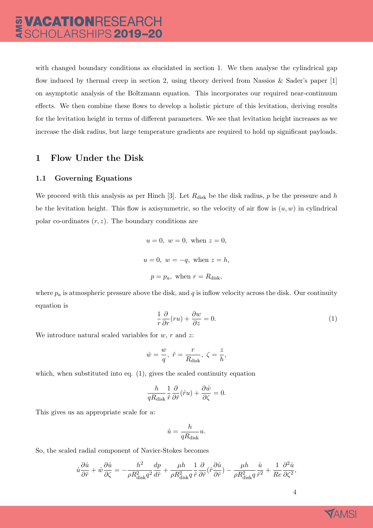with changed boundary conditions as elucidated in section 1. We then analyse the cylindrical gap flow induced by thermal creep in section 2, using theory derived from Nassios & Sader's paper [1] on asymptotic analysis of the Boltzmann equation. This incorporates our required near-continuum effects. We then combine these flows to develop a holistic picture of this levitation, deriving results for the levitation height in terms of different parameters. We see that levitation height increases as we increase the disk radius, but large temperature gradients are required to hold up significant payloads.

#### 1 Flow Under the Disk

#### 1.1 Governing Equations

We proceed with this analysis as per Hinch [3]. Let  $R_{disk}$  be the disk radius, p be the pressure and h be the levitation height. This flow is axisymmetric, so the velocity of air flow is  $(u, w)$  in cylindrical polar co-ordinates  $(r, z)$ . The boundary conditions are

$$
u = 0
$$
,  $w = 0$ , when  $z = 0$ ,  $u = 0$ ,  $w = -q$ , when  $z = h$ ,  $p = p_a$ , when  $r = R_{\text{disk}}$ ,

where  $p_a$  is atmospheric pressure above the disk, and q is inflow velocity across the disk. Our continuity equation is

$$
\frac{1}{r}\frac{\partial}{\partial r}(ru) + \frac{\partial w}{\partial z} = 0.
$$
\n(1)

We introduce natural scaled variables for  $w, r$  and  $z$ :

$$
\hat{w}=\frac{w}{q},~\hat{r}=\frac{r}{R_{\rm disk}},~\zeta=\frac{z}{h},
$$

which, when substituted into eq.  $(1)$ , gives the scaled continuity equation

$$
\frac{h}{qR_{\rm disk}}\frac{1}{\hat{r}}\frac{\partial}{\partial\hat{r}}(\hat{r}u)+\frac{\partial\hat{w}}{\partial\zeta}=0.
$$

This gives us an appropriate scale for u:

$$
\hat{u} = \frac{h}{qR_{\text{disk}}}u.
$$

So, the scaled radial component of Navier-Stokes becomes

$$
\hat{u}\frac{\partial\hat{u}}{\partial\hat{r}} + \hat{w}\frac{\partial\hat{u}}{\partial\zeta} = -\frac{h^2}{\rho R_{\text{disk}}^2 q^2}\frac{dp}{d\hat{r}} + \frac{\mu h}{\rho R_{\text{disk}}^2 q}\frac{1}{\hat{r}}\frac{\partial}{\partial\hat{r}}(\hat{r}\frac{\partial\hat{u}}{\partial\hat{r}}) - \frac{\mu h}{\rho R_{\text{disk}}^2 q}\frac{\hat{u}}{\hat{r}^2} + \frac{1}{Re}\frac{\partial^2\hat{u}}{\partial\zeta^2},
$$

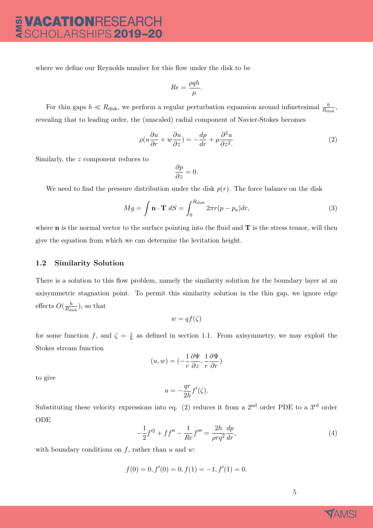where we define our Reynolds number for this flow under the disk to be

$$
Re = \frac{\rho q h}{\mu}.
$$

For thin gaps  $h \ll R_{\text{disk}}$ , we perform a regular perturbation expansion around infinetesimal  $\frac{h}{R_{\text{disk}}}$ , revealing that to leading order, the (unscaled) radial component of Navier-Stokes becomes

$$
\rho(u\frac{\partial u}{\partial r} + w\frac{\partial u}{\partial z}) = -\frac{dp}{dr} + \mu \frac{\partial^2 u}{\partial z^2}.
$$
\n(2)

Similarly, the z component reduces to

$$
\frac{\partial p}{\partial z} = 0.
$$

We need to find the pressure distribution under the disk  $p(r)$ . The force balance on the disk

$$
Mg = \int \mathbf{n} \cdot \mathbf{T} \, dS = \int_0^{R_{\text{disk}}} 2\pi r (p - p_a) dr,\tag{3}
$$

where  **is the normal vector to the surface pointing into the fluid and**  $**T**$  **is the stress tensor, will then** give the equation from which we can determine the levitation height.

#### 1.2 Similarity Solution

There is a solution to this flow problem, namely the similarity solution for the boundary layer at an axisymmetric stagnation point. To permit this similarity solution in the thin gap, we ignore edge effects  $O(\frac{h}{R_v})$  $\frac{h}{R_{\rm disk}}$ ), so that

$$
w = qf(\zeta)
$$

for some function f, and  $\zeta = \frac{z}{h}$  $\frac{z}{h}$  as defined in section 1.1. From axisymmetry, we may exploit the Stokes stream function

$$
(u, w) = \left(-\frac{1}{r}\frac{\partial \Psi}{\partial z}, \frac{1}{r}\frac{\partial \Psi}{\partial r}\right)
$$

to give

$$
u = -\frac{qr}{2h}f'(\zeta).
$$

Substituting these velocity expressions into eq. (2) reduces it from a  $2<sup>nd</sup>$  order PDE to a  $3<sup>rd</sup>$  order ODE

$$
-\frac{1}{2}f'^2 + ff'' - \frac{1}{Re}f''' = \frac{2h}{\rho r q^2} \frac{dp}{dr},\tag{4}
$$

with boundary conditions on  $f$ , rather than  $u$  and  $w$ :

$$
f(0) = 0, f'(0) = 0, f(1) = -1, f'(1) = 0.
$$

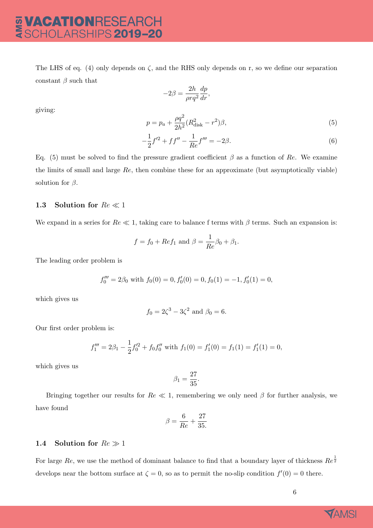## E VACATIONRESEARCH

The LHS of eq. (4) only depends on  $\zeta$ , and the RHS only depends on r, so we define our separation constant  $\beta$  such that

> $-2\beta = \frac{2h}{\Box}$  $\rho r q^2$  $rac{dp}{dr}$ ,

giving:

$$
p = p_a + \frac{\rho q^2}{2h^2} (R_{\text{disk}}^2 - r^2) \beta,
$$
\n(5)

$$
-\frac{1}{2}f'^2 + ff'' - \frac{1}{Re}f''' = -2\beta.
$$
\n(6)

Eq. (5) must be solved to find the pressure gradient coefficient  $\beta$  as a function of Re. We examine the limits of small and large Re, then combine these for an approximate (but asymptotically viable) solution for  $\beta$ .

#### 1.3 Solution for  $Re \ll 1$

We expand in a series for  $Re \ll 1$ , taking care to balance f terms with  $\beta$  terms. Such an expansion is:

$$
f = f_0 + Ref_1
$$
 and  $\beta = \frac{1}{Re}\beta_0 + \beta_1$ .

The leading order problem is

$$
f_0''' = 2\beta_0
$$
 with  $f_0(0) = 0$ ,  $f_0'(0) = 0$ ,  $f_0(1) = -1$ ,  $f_0'(1) = 0$ ,

which gives us

$$
f_0 = 2\zeta^3 - 3\zeta^2
$$
 and  $\beta_0 = 6$ .

Our first order problem is:

$$
f_1''' = 2\beta_1 - \frac{1}{2}f_0'^2 + f_0f_0''
$$
 with  $f_1(0) = f_1'(0) = f_1(1) = f_1'(1) = 0$ ,

which gives us

$$
\beta_1=\frac{27}{35}.
$$

Bringing together our results for  $Re \ll 1$ , remembering we only need  $\beta$  for further analysis, we have found

$$
\beta = \frac{6}{Re} + \frac{27}{35}
$$

#### 1.4 Solution for  $Re \gg 1$

For large  $Re$ , we use the method of dominant balance to find that a boundary layer of thickness  $Re^{\frac{1}{2}}$ develops near the bottom surface at  $\zeta = 0$ , so as to permit the no-slip condition  $f'(0) = 0$  there.

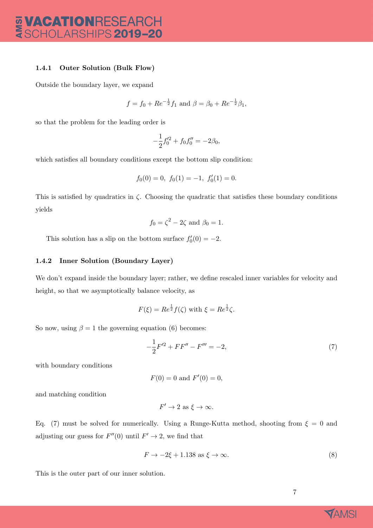### **VACATIONRESEARCH<br>SCHOLARSHIPS 2019-20** AMSI

#### 1.4.1 Outer Solution (Bulk Flow)

Outside the boundary layer, we expand

$$
f = f_0 + Re^{-\frac{1}{2}}f_1
$$
 and  $\beta = \beta_0 + Re^{-\frac{1}{2}}\beta_1$ ,

so that the problem for the leading order is

$$
-\frac{1}{2}f_0^{\prime 2} + f_0 f_0^{\prime \prime} = -2\beta_0,
$$

which satisfies all boundary conditions except the bottom slip condition:

$$
f_0(0) = 0, \ f_0(1) = -1, \ f'_0(1) = 0.
$$

This is satisfied by quadratics in  $\zeta$ . Choosing the quadratic that satisfies these boundary conditions yields

$$
f_0 = \zeta^2 - 2\zeta \text{ and } \beta_0 = 1.
$$

This solution has a slip on the bottom surface  $f'_{0}(0) = -2$ .

#### 1.4.2 Inner Solution (Boundary Layer)

We don't expand inside the boundary layer; rather, we define rescaled inner variables for velocity and height, so that we asymptotically balance velocity, as

$$
F(\xi) = Re^{\frac{1}{2}}f(\zeta) \text{ with } \xi = Re^{\frac{1}{2}}\zeta.
$$

So now, using  $\beta = 1$  the governing equation (6) becomes:

$$
-\frac{1}{2}F^{\prime 2} + FF^{\prime \prime} - F^{\prime \prime \prime} = -2,\tag{7}
$$

with boundary conditions

$$
F(0) = 0 \text{ and } F'(0) = 0,
$$

and matching condition

$$
F' \to 2 \text{ as } \xi \to \infty.
$$

Eq. (7) must be solved for numerically. Using a Runge-Kutta method, shooting from  $\xi = 0$  and adjusting our guess for  $F''(0)$  until  $F' \to 2$ , we find that

$$
F \to -2\xi + 1.138 \text{ as } \xi \to \infty. \tag{8}
$$

This is the outer part of our inner solution.

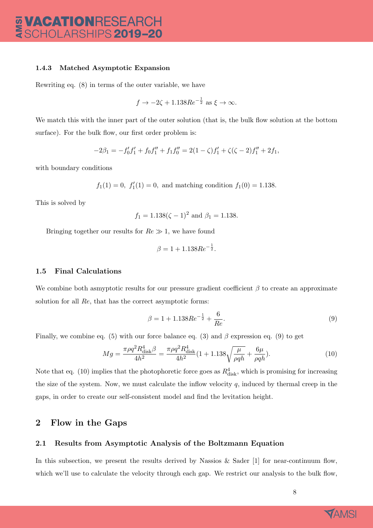#### 1.4.3 Matched Asymptotic Expansion

Rewriting eq. (8) in terms of the outer variable, we have

$$
f \rightarrow -2\zeta + 1.138Re^{-\frac{1}{2}}
$$
 as  $\xi \rightarrow \infty$ .

We match this with the inner part of the outer solution (that is, the bulk flow solution at the bottom surface). For the bulk flow, our first order problem is:

$$
-2\beta_1 = -f'_0f'_1 + f_0f''_1 + f_1f''_0 = 2(1-\zeta)f'_1 + \zeta(\zeta - 2)f''_1 + 2f_1,
$$

with boundary conditions

 $f_1(1) = 0$ ,  $f'_1(1) = 0$ , and matching condition  $f_1(0) = 1.138$ .

This is solved by

$$
f_1 = 1.138(\zeta - 1)^2
$$
 and  $\beta_1 = 1.138$ .

Bringing together our results for  $Re \gg 1$ , we have found

$$
\beta = 1 + 1.138Re^{-\frac{1}{2}}.
$$

#### 1.5 Final Calculations

We combine both asmyptotic results for our pressure gradient coefficient  $\beta$  to create an approximate solution for all Re, that has the correct asymptotic forms:

$$
\beta = 1 + 1.138Re^{-\frac{1}{2}} + \frac{6}{Re}.
$$
\n(9)

Finally, we combine eq. (5) with our force balance eq. (3) and  $\beta$  expression eq. (9) to get

$$
Mg = \frac{\pi \rho q^2 R_{\text{disk}}^4 \beta}{4h^2} = \frac{\pi \rho q^2 R_{\text{disk}}^4}{4h^2} (1 + 1.138 \sqrt{\frac{\mu}{\rho q h}} + \frac{6\mu}{\rho q h}).\tag{10}
$$

Note that eq. (10) implies that the photophoretic force goes as  $R_{\text{disk}}^4$ , which is promising for increasing the size of the system. Now, we must calculate the inflow velocity  $q$ , induced by thermal creep in the gaps, in order to create our self-consistent model and find the levitation height.

#### 2 Flow in the Gaps

#### 2.1 Results from Asymptotic Analysis of the Boltzmann Equation

In this subsection, we present the results derived by Nassios & Sader  $[1]$  for near-continuum flow, which we'll use to calculate the velocity through each gap. We restrict our analysis to the bulk flow,

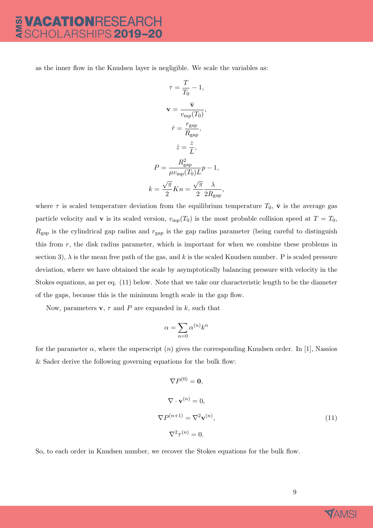## **VACATIONRESEARCH<br>SCHOLARSHIPS 2019-20**

as the inner flow in the Knudsen layer is negligible. We scale the variables as:

$$
\tau = \frac{T}{T_0} - 1,
$$
  

$$
\mathbf{v} = \frac{\bar{\mathbf{v}}}{v_{\rm mp}(T_0)},
$$
  

$$
\hat{r} = \frac{r_{\rm gap}}{R_{\rm gap}},
$$
  

$$
\hat{z} = \frac{z}{L},
$$
  

$$
P = \frac{R_{\rm gap}^2}{\mu v_{\rm mp}(T_0)L} p - 1,
$$
  

$$
k = \frac{\sqrt{\pi}}{2} K n = \frac{\sqrt{\pi}}{2} \frac{\lambda}{2R_{\rm gap}}
$$

,

where  $\tau$  is scaled temperature deviation from the equilibrium temperature  $T_0$ ,  $\bar{v}$  is the average gas particle velocity and **v** is its scaled version,  $v_{mp}(T_0)$  is the most probable collision speed at  $T = T_0$ ,  $R_{\text{gap}}$  is the cylindrical gap radius and  $r_{\text{gap}}$  is the gap radius parameter (being careful to distinguish this from r, the disk radius parameter, which is important for when we combine these problems in section 3),  $\lambda$  is the mean free path of the gas, and k is the scaled Knudsen number. P is scaled pressure deviation, where we have obtained the scale by asymptotically balancing pressure with velocity in the Stokes equations, as per eq. (11) below. Note that we take our characteristic length to be the diameter of the gaps, because this is the minimum length scale in the gap flow.

Now, parameters  $\mathbf{v}, \tau$  and P are expanded in k, such that

$$
\alpha = \sum_{n=0} \alpha^{(n)} k^n
$$

for the parameter  $\alpha$ , where the superscript  $(n)$  gives the corresponding Knudsen order. In [1], Nassios & Sader derive the following governing equations for the bulk flow:

$$
\nabla P^{(0)} = \mathbf{0},
$$
  
\n
$$
\nabla \cdot \mathbf{v}^{(n)} = 0,
$$
  
\n
$$
\nabla P^{(n+1)} = \nabla^2 \mathbf{v}^{(n)},
$$
  
\n
$$
\nabla^2 \tau^{(n)} = 0.
$$
\n(11)

So, to each order in Knudsen number, we recover the Stokes equations for the bulk flow.

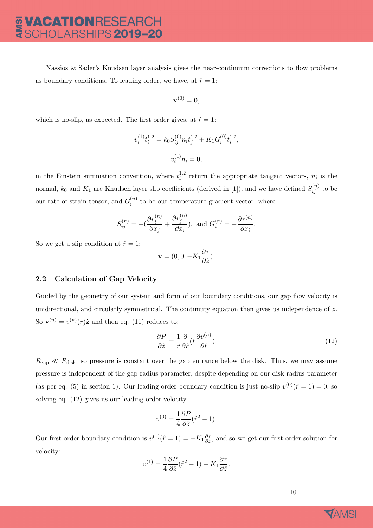Nassios  $\&$  Sader's Knudsen layer analysis gives the near-continuum corrections to flow problems as boundary conditions. To leading order, we have, at  $\hat{r} = 1$ :

$$
\mathbf{v}^{(0)}=\mathbf{0},
$$

which is no-slip, as expected. The first order gives, at  $\hat{r} = 1$ :

$$
v_i^{(1)}t_i^{1,2} = k_0 S_{ij}^{(0)} n_i t_j^{1,2} + K_1 G_i^{(0)} t_i^{1,2},
$$
  

$$
v_i^{(1)} n_i = 0,
$$

in the Einstein summation convention, where  $t_i^{1,2}$  $i^{1,2}$  return the appropriate tangent vectors,  $n_i$  is the normal,  $k_0$  and  $K_1$  are Knudsen layer slip coefficients (derived in [1]), and we have defined  $S_{ij}^{(n)}$  to be our rate of strain tensor, and  $G_i^{(n)}$  $\binom{n}{i}$  to be our temperature gradient vector, where

$$
S_{ij}^{(n)} = -(\frac{\partial v_i^{(n)}}{\partial x_j} + \frac{\partial v_j^{(n)}}{\partial x_i}), \text{ and } G_i^{(n)} = -\frac{\partial \tau^{(n)}}{\partial x_i}.
$$

So we get a slip condition at  $\hat{r} = 1$ :

$$
\mathbf{v} = (0, 0, -K_1 \frac{\partial \tau}{\partial \hat{z}}).
$$

#### 2.2 Calculation of Gap Velocity

Guided by the geometry of our system and form of our boundary conditions, our gap flow velocity is unidirectional, and circularly symmetrical. The continuity equation then gives us independence of  $z$ . So  $\mathbf{v}^{(n)} = v^{(n)}(r)\hat{\mathbf{z}}$  and then eq. (11) reduces to:

$$
\frac{\partial P}{\partial \hat{z}} = \frac{1}{\hat{r}} \frac{\partial}{\partial \hat{r}} (\hat{r} \frac{\partial v^{(n)}}{\partial \hat{r}}). \tag{12}
$$

 $R_{\text{gap}} \ll R_{\text{disk}}$ , so pressure is constant over the gap entrance below the disk. Thus, we may assume pressure is independent of the gap radius parameter, despite depending on our disk radius parameter (as per eq. (5) in section 1). Our leading order boundary condition is just no-slip  $v^{(0)}(\hat{r}=1) = 0$ , so solving eq. (12) gives us our leading order velocity

$$
v^{(0)} = \frac{1}{4} \frac{\partial P}{\partial \hat{z}} (\hat{r}^2 - 1).
$$

Our first order boundary condition is  $v^{(1)}(\hat{r}=1) = -K_1 \frac{\partial \tau}{\partial z}$ , and so we get our first order solution for velocity:

$$
v^{(1)} = \frac{1}{4} \frac{\partial P}{\partial \hat{z}} (\hat{r}^2 - 1) - K_1 \frac{\partial \tau}{\partial \hat{z}}.
$$

10

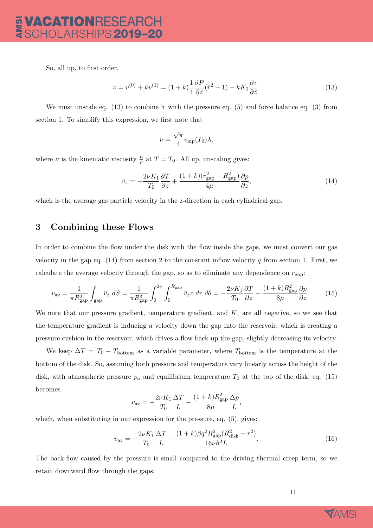So, all up, to first order,

$$
v = v^{(0)} + kv^{(1)} = (1+k)\frac{1}{4}\frac{\partial P}{\partial \hat{z}}(\hat{r}^2 - 1) - kK_1\frac{\partial \tau}{\partial \hat{z}}.
$$
\n(13)

We must unscale eq. (13) to combine it with the pressure eq. (5) and force balance eq. (3) from section 1. To simplify this expression, we first note that

$$
\nu = \frac{\sqrt{\pi}}{4} v_{\rm mp}(T_0) \lambda,
$$

where  $\nu$  is the kinematic viscosity  $\frac{\mu}{\rho}$  at  $T = T_0$ . All up, unscaling gives:

$$
\bar{v}_z = -\frac{2\nu K_1}{T_0} \frac{\partial T}{\partial z} + \frac{(1+k)(r_{\text{gap}}^2 - R_{\text{gap}}^2)}{4\mu} \frac{\partial p}{\partial z},\tag{14}
$$

which is the average gas particle velocity in the z-direction in each cylindrical gap.

#### 3 Combining these Flows

In order to combine the flow under the disk with the flow inside the gaps, we must convert our gas velocity in the gap eq.  $(14)$  from section 2 to the constant inflow velocity q from section 1. First, we calculate the average velocity through the gap, so as to eliminate any dependence on  $r_{\text{gap}}$ :

$$
v_{\rm av} = \frac{1}{\pi R_{\rm gap}^2} \int_{\rm gap} \bar{v}_z \ dS = \frac{1}{\pi R_{\rm gap}^2} \int_0^{2\pi} \int_0^{R_{\rm gap}} \bar{v}_z r \ dr \ d\theta = -\frac{2\nu K_1}{T_0} \frac{\partial T}{\partial z} - \frac{(1+k)R_{\rm gap}^2}{8\mu} \frac{\partial p}{\partial z}.
$$
 (15)

We note that our pressure gradient, temperature gradient, and  $K_1$  are all negative, so we see that the temperature gradient is inducing a velocity down the gap into the reservoir, which is creating a pressure cushion in the reservoir, which drives a flow back up the gap, slightly decreasing its velocity.

We keep  $\Delta T = T_0 - T_{\text{bottom}}$  as a variable parameter, where  $T_{\text{bottom}}$  is the temperature at the bottom of the disk. So, assuming both pressure and temperature vary linearly across the height of the disk, with atmospheric pressure  $p_a$  and equilibrium temperature  $T_0$  at the top of the disk, eq. (15) becomes

$$
v_{\rm av} = -\frac{2\nu K_1}{T_0} \frac{\Delta T}{L} - \frac{(1+k)R_{\rm gap}^2}{8\mu} \frac{\Delta p}{L},
$$

which, when substituting in our expression for the pressure, eq.  $(5)$ , gives:

$$
v_{\rm av} = -\frac{2\nu K_1}{T_0} \frac{\Delta T}{L} - \frac{(1+k)\beta q^2 R_{\rm gap}^2 (R_{\rm disk}^2 - r^2)}{16\nu h^2 L}.
$$
\n(16)

The back-flow caused by the pressure is small compared to the driving thermal creep term, so we retain downward flow through the gaps.

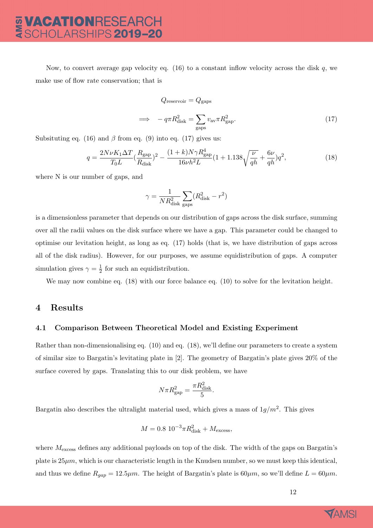Now, to convert average gap velocity eq.  $(16)$  to a constant inflow velocity across the disk q, we make use of flow rate conservation; that is

$$
Q_{\text{reservoir}} = Q_{\text{gaps}}
$$
  

$$
\implies -q\pi R_{\text{disk}}^2 = \sum_{\text{gaps}} v_{\text{av}} \pi R_{\text{gap}}^2.
$$
 (17)

Subsituting eq. (16) and  $\beta$  from eq. (9) into eq. (17) gives us:

$$
q = \frac{2N\nu K_1 \Delta T}{T_0 L} (\frac{R_{\rm gap}}{R_{\rm disk}})^2 - \frac{(1+k)N\gamma R_{\rm gap}^4}{16\nu h^2 L} (1+1.138\sqrt{\frac{\nu}{qh}} + \frac{6\nu}{qh})q^2,\tag{18}
$$

where N is our number of gaps, and

$$
\gamma = \frac{1}{N R_{\rm disk}^2} \sum_{\rm gaps} (R_{\rm disk}^2 - r^2)
$$

is a dimensionless parameter that depends on our distribution of gaps across the disk surface, summing over all the radii values on the disk surface where we have a gap. This parameter could be changed to optimise our levitation height, as long as eq. (17) holds (that is, we have distribution of gaps across all of the disk radius). However, for our purposes, we assume equidistribution of gaps. A computer simulation gives  $\gamma = \frac{1}{2}$  $\frac{1}{2}$  for such an equidistribution.

We may now combine eq. (18) with our force balance eq. (10) to solve for the levitation height.

#### 4 Results

#### 4.1 Comparison Between Theoretical Model and Existing Experiment

Rather than non-dimensionalising eq. (10) and eq. (18), we'll define our parameters to create a system of similar size to Bargatin's levitating plate in [2]. The geometry of Bargatin's plate gives 20% of the surface covered by gaps. Translating this to our disk problem, we have

$$
N\pi R_{\text{gap}}^2 = \frac{\pi R_{\text{disk}}^2}{5}.
$$

Bargatin also describes the ultralight material used, which gives a mass of  $1g/m^2$ . This gives

$$
M = 0.8 \ 10^{-3} \pi R_{\text{disk}}^2 + M_{\text{excess}},
$$

where  $M_{\text{excess}}$  defines any additional payloads on top of the disk. The width of the gaps on Bargatin's plate is  $25\mu m$ , which is our characteristic length in the Knudsen number, so we must keep this identical, and thus we define  $R_{gap} = 12.5 \mu m$ . The height of Bargatin's plate is  $60 \mu m$ , so we'll define  $L = 60 \mu m$ .

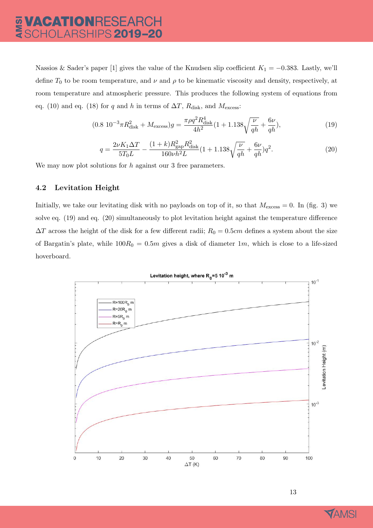## **VACATIONRESEARCH<br>SCHOLARSHIPS 2019–20**

Nassios & Sader's paper [1] gives the value of the Knudsen slip coefficient  $K_1 = -0.383$ . Lastly, we'll define  $T_0$  to be room temperature, and  $\nu$  and  $\rho$  to be kinematic viscosity and density, respectively, at room temperature and atmospheric pressure. This produces the following system of equations from eq. (10) and eq. (18) for q and h in terms of  $\Delta T$ ,  $R_{\text{disk}}$ , and  $M_{\text{excess}}$ :

$$
(0.8 \ 10^{-3} \pi R_{\text{disk}}^2 + M_{\text{excess}})g = \frac{\pi \rho q^2 R_{\text{disk}}^4}{4h^2} (1 + 1.138 \sqrt{\frac{\nu}{qh}} + \frac{6\nu}{qh}),\tag{19}
$$

$$
q = \frac{2\nu K_1 \Delta T}{5T_0 L} - \frac{(1+k)R_{\text{gap}}^2 R_{\text{disk}}^2}{160\nu h^2 L} (1+1.138\sqrt{\frac{\nu}{qh}} + \frac{6\nu}{qh})q^2. \tag{20}
$$

We may now plot solutions for  $h$  against our 3 free parameters.

#### 4.2 Levitation Height

Initially, we take our levitating disk with no payloads on top of it, so that  $M_{\text{excess}} = 0$ . In (fig. 3) we solve eq. (19) and eq. (20) simultaneously to plot levitation height against the temperature difference  $\Delta T$  across the height of the disk for a few different radii;  $R_0 = 0.5$ cm defines a system about the size of Bargatin's plate, while  $100R_0 = 0.5m$  gives a disk of diameter 1m, which is close to a life-sized hoverboard.



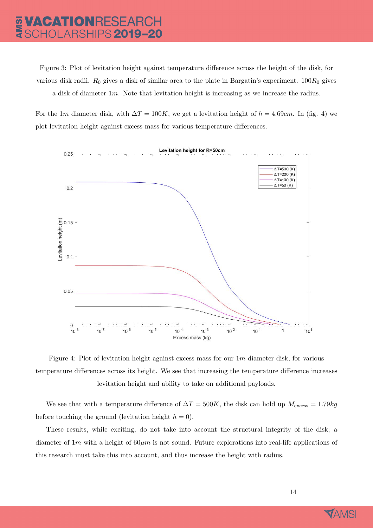## 

Figure 3: Plot of levitation height against temperature difference across the height of the disk, for various disk radii.  $R_0$  gives a disk of similar area to the plate in Bargatin's experiment.  $100R_0$  gives a disk of diameter  $1m$ . Note that levitation height is increasing as we increase the radius.

For the 1m diameter disk, with  $\Delta T = 100K$ , we get a levitation height of  $h = 4.69cm$ . In (fig. 4) we plot levitation height against excess mass for various temperature differences.



Figure 4: Plot of levitation height against excess mass for our  $1m$  diameter disk, for various temperature differences across its height. We see that increasing the temperature difference increases levitation height and ability to take on additional payloads.

We see that with a temperature difference of  $\Delta T = 500K$ , the disk can hold up  $M_{\text{excess}} = 1.79kg$ before touching the ground (levitation height  $h = 0$ ).

These results, while exciting, do not take into account the structural integrity of the disk; a diameter of  $1m$  with a height of  $60\mu m$  is not sound. Future explorations into real-life applications of this research must take this into account, and thus increase the height with radius.